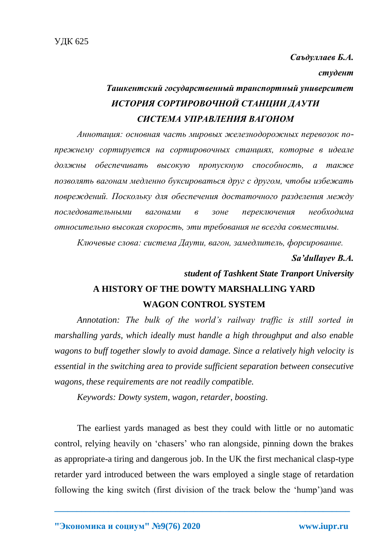*Саъдуллаев Б.А.* 

*студент*

## *Ташкентский государственный транспортный университет ИСТОРИЯ СОРТИРОВОЧНОЙ СТАНЦИИ ДАУТИ СИСТЕМА УПРАВЛЕНИЯ ВАГОНОМ*

*Аннотация: основная часть мировых железнодорожных перевозок попрежнему сортируется на сортировочных станциях, которые в идеале должны обеспечивать высокую пропускную способность, а также позволять вагонам медленно буксироваться друг с другом, чтобы избежать повреждений. Поскольку для обеспечения достаточного разделения между последовательными вагонами в зоне переключения необходима относительно высокая скорость, эти требования не всегда совместимы.* 

*Ключевые слова: система Даути, вагон, замедлитель, форсирование.*

*Sa'dullayev B.A.*

## *student of Tashkent State Tranport University* **A HISTORY OF THE DOWTY MARSHALLING YARD WAGON CONTROL SYSTEM**

*Annotation: The bulk of the world's railway traffic is still sorted in marshalling yards, which ideally must handle a high throughput and also enable wagons to buff together slowly to avoid damage. Since a relatively high velocity is essential in the switching area to provide sufficient separation between consecutive wagons, these requirements are not readily compatible.* 

*Keywords: Dowty system, wagon, retarder, boosting.*

The earliest yards managed as best they could with little or no automatic control, relying heavily on 'chasers' who ran alongside, pinning down the brakes as appropriate-a tiring and dangerous job. In the UK the first mechanical clasp-type retarder yard introduced between the wars employed a single stage of retardation following the king switch (first division of the track below the 'hump')and was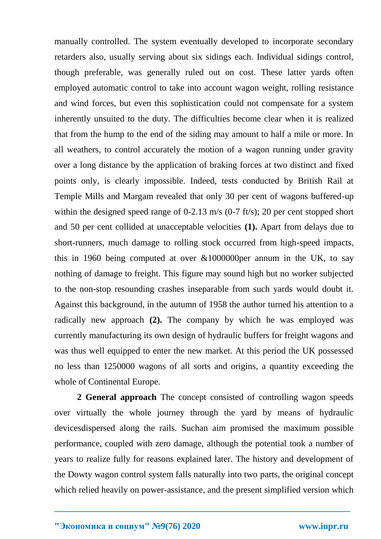manually controlled. The system eventually developed to incorporate secondary retarders also, usually serving about six sidings each. Individual sidings control, though preferable, was generally ruled out on cost. These latter yards often employed automatic control to take into account wagon weight, rolling resistance and wind forces, but even this sophistication could not compensate for a system inherently unsuited to the duty. The difficulties become clear when it is realized that from the hump to the end of the siding may amount to half a mile or more. In all weathers, to control accurately the motion of a wagon running under gravity over a long distance by the application of braking forces at two distinct and fixed points only, is clearly impossible. Indeed, tests conducted by British Rail at Temple Mills and Margam revealed that only 30 per cent of wagons buffered-up within the designed speed range of 0-2.13 m/s (0-7 ft/s); 20 per cent stopped short and 50 per cent collided at unacceptable velocities **(1).** Apart from delays due to short-runners, much damage to rolling stock occurred from high-speed impacts, this in 1960 being computed at over  $&1000000$  per annum in the UK, to say nothing of damage to freight. This figure may sound high but no worker subjected to the non-stop resounding crashes inseparable from such yards would doubt it. Against this background, in the autumn of 1958 the author turned his attention to a radically new approach **(2).** The company by which he was employed was currently manufacturing its own design of hydraulic buffers for freight wagons and was thus well equipped to enter the new market. At this period the UK possessed no less than 1250000 wagons of all sorts and origins, a quantity exceeding the whole of Continental Europe.

**2 General approach** The concept consisted of controlling wagon speeds over virtually the whole journey through the yard by means of hydraulic devicesdispersed along the rails. Suchan aim promised the maximum possible performance, coupled with zero damage, although the potential took a number of years to realize fully for reasons explained later. The history and development of the Dowty wagon control system falls naturally into two parts, the original concept which relied heavily on power-assistance, and the present simplified version which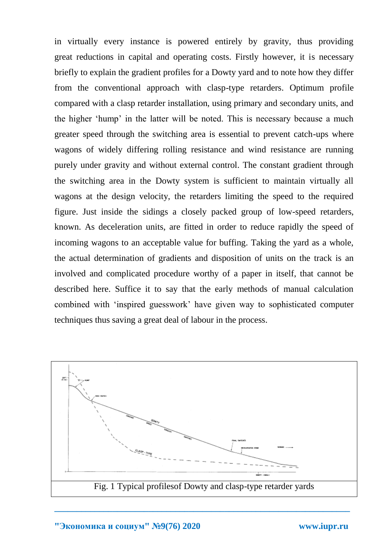in virtually every instance is powered entirely by gravity, thus providing great reductions in capital and operating costs. Firstly however, it is necessary briefly to explain the gradient profiles for a Dowty yard and to note how they differ from the conventional approach with clasp-type retarders. Optimum profile compared with a clasp retarder installation, using primary and secondary units, and the higher 'hump' in the latter will be noted. This is necessary because a much greater speed through the switching area is essential to prevent catch-ups where wagons of widely differing rolling resistance and wind resistance are running purely under gravity and without external control. The constant gradient through the switching area in the Dowty system is sufficient to maintain virtually all wagons at the design velocity, the retarders limiting the speed to the required figure. Just inside the sidings a closely packed group of low-speed retarders, known. As deceleration units, are fitted in order to reduce rapidly the speed of incoming wagons to an acceptable value for buffing. Taking the yard as a whole, the actual determination of gradients and disposition of units on the track is an involved and complicated procedure worthy of a paper in itself, that cannot be described here. Suffice it to say that the early methods of manual calculation combined with 'inspired guesswork' have given way to sophisticated computer techniques thus saving a great deal of labour in the process.



**\_\_\_\_\_\_\_\_\_\_\_\_\_\_\_\_\_\_\_\_\_\_\_\_\_\_\_\_\_\_\_\_\_\_\_\_\_\_\_\_\_\_\_\_\_\_\_\_\_\_\_\_\_\_\_\_\_\_\_\_\_\_\_\_\_\_**

**"Экономика и социум" №9(76) 2020 www.iupr.ru**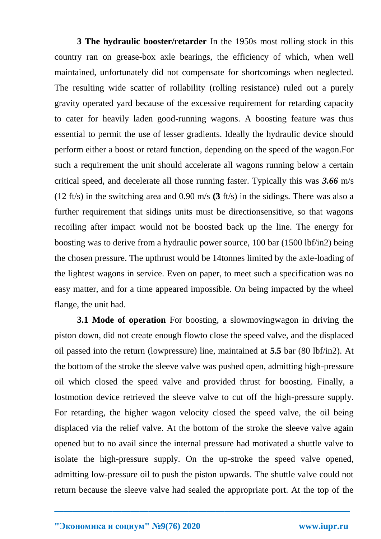**3 The hydraulic booster/retarder** In the 1950s most rolling stock in this country ran on grease-box axle bearings, the efficiency of which, when well maintained, unfortunately did not compensate for shortcomings when neglected. The resulting wide scatter of rollability (rolling resistance) ruled out a purely gravity operated yard because of the excessive requirement for retarding capacity to cater for heavily laden good-running wagons. A boosting feature was thus essential to permit the use of lesser gradients. Ideally the hydraulic device should perform either a boost or retard function, depending on the speed of the wagon.For such a requirement the unit should accelerate all wagons running below a certain critical speed, and decelerate all those running faster. Typically this was *3.66* m/s (12 ft/s) in the switching area and 0.90 m/s **(3** ft/s) in the sidings. There was also a further requirement that sidings units must be directionsensitive, so that wagons recoiling after impact would not be boosted back up the line. The energy for boosting was to derive from a hydraulic power source, 100 bar (1500 lbf/in2) being the chosen pressure. The upthrust would be 14tonnes limited by the axle-loading of the lightest wagons in service. Even on paper, to meet such a specification was no easy matter, and for a time appeared impossible. On being impacted by the wheel flange, the unit had.

**3.1 Mode of operation** For boosting, a slowmovingwagon in driving the piston down, did not create enough flowto close the speed valve, and the displaced oil passed into the return (lowpressure) line, maintained at **5.5** bar (80 lbf/in2). At the bottom of the stroke the sleeve valve was pushed open, admitting high-pressure oil which closed the speed valve and provided thrust for boosting. Finally, a lostmotion device retrieved the sleeve valve to cut off the high-pressure supply. For retarding, the higher wagon velocity closed the speed valve, the oil being displaced via the relief valve. At the bottom of the stroke the sleeve valve again opened but to no avail since the internal pressure had motivated a shuttle valve to isolate the high-pressure supply. On the up-stroke the speed valve opened, admitting low-pressure oil to push the piston upwards. The shuttle valve could not return because the sleeve valve had sealed the appropriate port. At the top of the